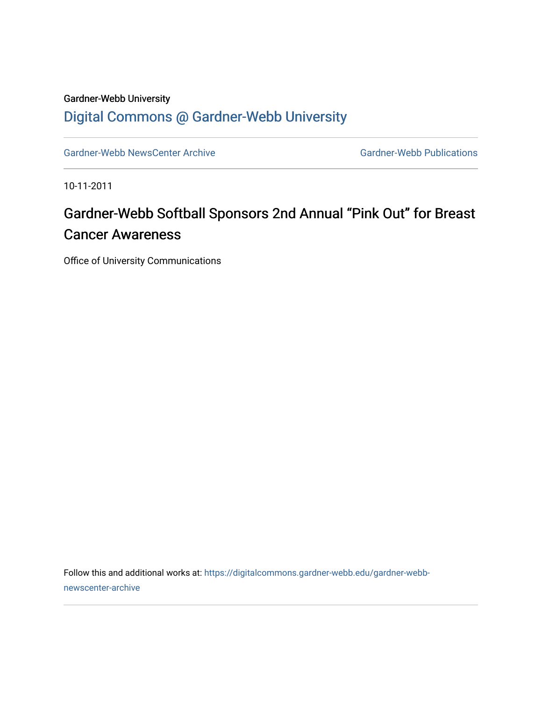## Gardner-Webb University

## [Digital Commons @ Gardner-Webb University](https://digitalcommons.gardner-webb.edu/)

[Gardner-Webb NewsCenter Archive](https://digitalcommons.gardner-webb.edu/gardner-webb-newscenter-archive) Gardner-Webb Publications

10-11-2011

## Gardner-Webb Softball Sponsors 2nd Annual "Pink Out" for Breast Cancer Awareness

Office of University Communications

Follow this and additional works at: [https://digitalcommons.gardner-webb.edu/gardner-webb](https://digitalcommons.gardner-webb.edu/gardner-webb-newscenter-archive?utm_source=digitalcommons.gardner-webb.edu%2Fgardner-webb-newscenter-archive%2F2004&utm_medium=PDF&utm_campaign=PDFCoverPages)[newscenter-archive](https://digitalcommons.gardner-webb.edu/gardner-webb-newscenter-archive?utm_source=digitalcommons.gardner-webb.edu%2Fgardner-webb-newscenter-archive%2F2004&utm_medium=PDF&utm_campaign=PDFCoverPages)